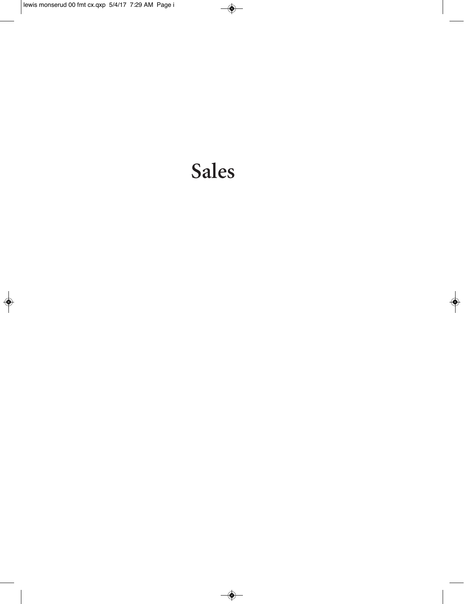# Sales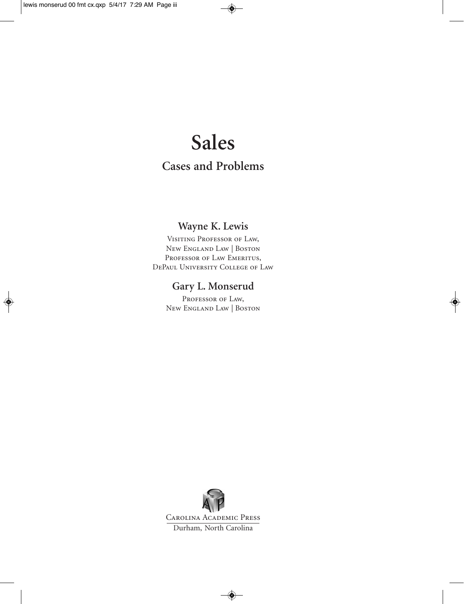## **Sales**

### **Cases and Problems**

#### **Wayne K. Lewis**

Visiting Professor of Law, New England Law | Boston PROFESSOR OF LAW EMERITUS, DePaul University College of Law

#### **Gary L. Monserud**

PROFESSOR OF LAW, New England Law | Boston

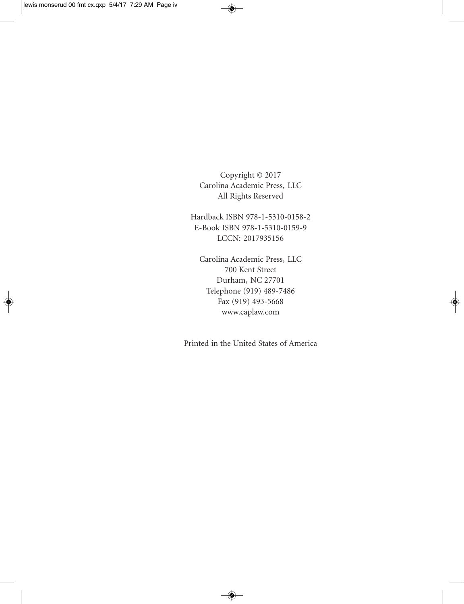Copyright © 2017 Carolina Academic Press, LLC All Rights Reserved

Hardback ISBN 978-1-5310-0158-2 E-Book ISBN 978-1-5310-0159-9 LCCN: 2017935156

Carolina Academic Press, LLC 700 Kent Street Durham, NC 27701 Telephone (919) 489-7486 Fax (919) 493-5668 www.caplaw.com

Printed in the United States of America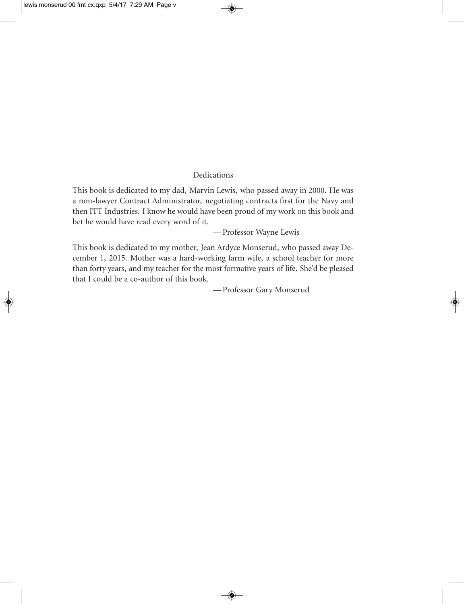#### Dedications

This book is dedicated to my dad, Marvin Lewis, who passed away in 2000. He was a non-lawyer Contract Administrator, negotiating contracts first for the Navy and then ITT Industries. I know he would have been proud of my work on this book and bet he would have read every word of it.

—Professor Wayne Lewis

This book is dedicated to my mother, Jean Ardyce Monserud, who passed away December 1, 2015. Mother was a hard-working farm wife, a school teacher for more than forty years, and my teacher for the most formative years of life. She'd be pleased that I could be a co-author of this book.

—Professor Gary Monserud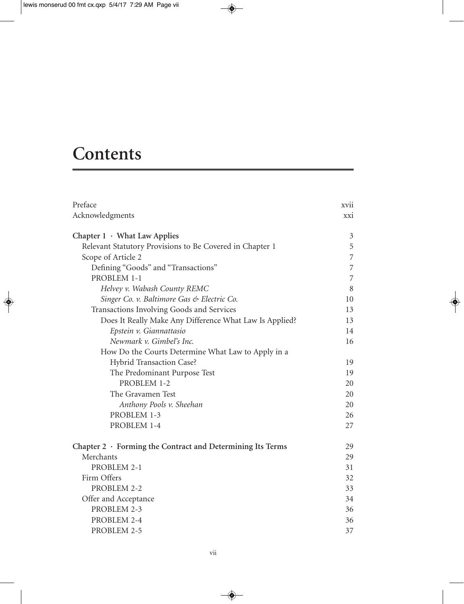## **Contents**

| Preface                                                          | xvii       |
|------------------------------------------------------------------|------------|
| Acknowledgments                                                  | <b>XXI</b> |
| Chapter $1 \cdot$ What Law Applies                               | 3          |
| Relevant Statutory Provisions to Be Covered in Chapter 1         | 5          |
| Scope of Article 2                                               | 7          |
| Defining "Goods" and "Transactions"                              | 7          |
| PROBLEM 1-1                                                      | 7          |
| Helvey v. Wabash County REMC                                     | 8          |
| Singer Co. v. Baltimore Gas & Electric Co.                       | 10         |
| Transactions Involving Goods and Services                        | 13         |
| Does It Really Make Any Difference What Law Is Applied?          | 13         |
| Epstein v. Giannattasio                                          | 14         |
| Newmark v. Gimbel's Inc.                                         | 16         |
| How Do the Courts Determine What Law to Apply in a               |            |
| Hybrid Transaction Case?                                         | 19         |
| The Predominant Purpose Test                                     | 19         |
| PROBLEM 1-2                                                      | 20         |
| The Gravamen Test                                                | 20         |
| Anthony Pools v. Sheehan                                         | 20         |
| PROBLEM 1-3                                                      | 26         |
| PROBLEM 1-4                                                      | 27         |
| Chapter $2 \cdot$ Forming the Contract and Determining Its Terms | 29         |
| Merchants                                                        | 29         |
| PROBLEM 2-1                                                      | 31         |
| Firm Offers                                                      | 32         |
| PROBLEM 2-2                                                      | 33         |
| Offer and Acceptance                                             | 34         |
| PROBLEM 2-3                                                      | 36         |
| PROBLEM 2-4                                                      | 36         |
| PROBLEM 2-5                                                      | 37         |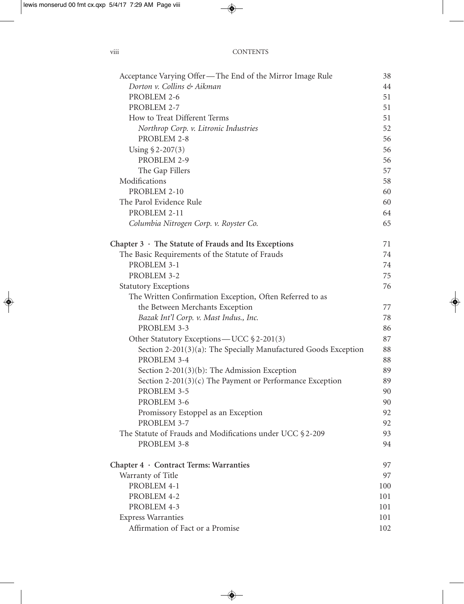| $\cdots$<br>V111 | <b>CONTENTS</b> |
|------------------|-----------------|
|                  |                 |

| Acceptance Varying Offer—The End of the Mirror Image Rule       | 38  |
|-----------------------------------------------------------------|-----|
| Dorton v. Collins & Aikman                                      | 44  |
| PROBLEM 2-6                                                     | 51  |
| PROBLEM 2-7                                                     | 51  |
| How to Treat Different Terms                                    | 51  |
| Northrop Corp. v. Litronic Industries                           | 52  |
| PROBLEM 2-8                                                     | 56  |
| Using $$2-207(3)$                                               | 56  |
| PROBLEM 2-9                                                     | 56  |
| The Gap Fillers                                                 | 57  |
| Modifications                                                   | 58  |
| PROBLEM 2-10                                                    | 60  |
| The Parol Evidence Rule                                         | 60  |
| PROBLEM 2-11                                                    | 64  |
| Columbia Nitrogen Corp. v. Royster Co.                          | 65  |
| Chapter $3 \cdot$ The Statute of Frauds and Its Exceptions      | 71  |
| The Basic Requirements of the Statute of Frauds                 | 74  |
| PROBLEM 3-1                                                     | 74  |
| PROBLEM 3-2                                                     | 75  |
| <b>Statutory Exceptions</b>                                     | 76  |
| The Written Confirmation Exception, Often Referred to as        |     |
| the Between Merchants Exception                                 | 77  |
| Bazak Int'l Corp. v. Mast Indus., Inc.                          | 78  |
| PROBLEM 3-3                                                     | 86  |
| Other Statutory Exceptions — UCC §2-201(3)                      | 87  |
| Section 2-201(3)(a): The Specially Manufactured Goods Exception | 88  |
| PROBLEM 3-4                                                     | 88  |
| Section 2-201(3)(b): The Admission Exception                    | 89  |
| Section 2-201(3)(c) The Payment or Performance Exception        | 89  |
| PROBLEM 3-5                                                     | 90  |
| PROBLEM 3-6                                                     | 90  |
| Promissory Estoppel as an Exception                             | 92  |
| PROBLEM 3-7                                                     | 92  |
| The Statute of Frauds and Modifications under UCC §2-209        | 93  |
| PROBLEM 3-8                                                     | 94  |
| Chapter 4 · Contract Terms: Warranties                          | 97  |
| Warranty of Title                                               | 97  |
| PROBLEM 4-1                                                     | 100 |
| PROBLEM 4-2                                                     | 101 |
| PROBLEM 4-3                                                     | 101 |
| <b>Express Warranties</b>                                       | 101 |
| Affirmation of Fact or a Promise                                | 102 |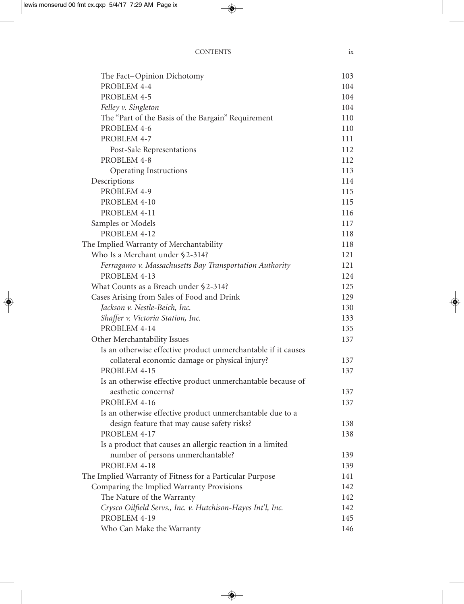| <b>CONTENTS</b> | 1X |
|-----------------|----|
|                 |    |

| The Fact-Opinion Dichotomy                                    | 103 |
|---------------------------------------------------------------|-----|
| PROBLEM 4-4                                                   | 104 |
| PROBLEM 4-5                                                   | 104 |
| Felley v. Singleton                                           | 104 |
| The "Part of the Basis of the Bargain" Requirement            | 110 |
| PROBLEM 4-6                                                   | 110 |
| PROBLEM 4-7                                                   | 111 |
| Post-Sale Representations                                     | 112 |
| PROBLEM 4-8                                                   | 112 |
| Operating Instructions                                        | 113 |
| Descriptions                                                  | 114 |
| PROBLEM 4-9                                                   | 115 |
| PROBLEM 4-10                                                  | 115 |
| PROBLEM 4-11                                                  | 116 |
| Samples or Models                                             | 117 |
| PROBLEM 4-12                                                  | 118 |
| The Implied Warranty of Merchantability                       | 118 |
| Who Is a Merchant under §2-314?                               | 121 |
| Ferragamo v. Massachusetts Bay Transportation Authority       | 121 |
| PROBLEM 4-13                                                  | 124 |
| What Counts as a Breach under §2-314?                         | 125 |
| Cases Arising from Sales of Food and Drink                    | 129 |
| Jackson v. Nestle-Beich, Inc.                                 | 130 |
| Shaffer v. Victoria Station, Inc.                             | 133 |
| PROBLEM 4-14                                                  | 135 |
| Other Merchantability Issues                                  | 137 |
| Is an otherwise effective product unmerchantable if it causes |     |
| collateral economic damage or physical injury?                | 137 |
| PROBLEM 4-15                                                  | 137 |
| Is an otherwise effective product unmerchantable because of   |     |
| aesthetic concerns?                                           | 137 |
| PROBLEM 4-16                                                  | 137 |
| Is an otherwise effective product unmerchantable due to a     |     |
| design feature that may cause safety risks?                   | 138 |
| PROBLEM 4-17                                                  | 138 |
| Is a product that causes an allergic reaction in a limited    |     |
| number of persons unmerchantable?                             | 139 |
| PROBLEM 4-18                                                  | 139 |
| The Implied Warranty of Fitness for a Particular Purpose      | 141 |
| Comparing the Implied Warranty Provisions                     | 142 |
| The Nature of the Warranty                                    | 142 |
| Crysco Oilfield Servs., Inc. v. Hutchison-Hayes Int'l, Inc.   | 142 |
| PROBLEM 4-19                                                  | 145 |
| Who Can Make the Warranty                                     | 146 |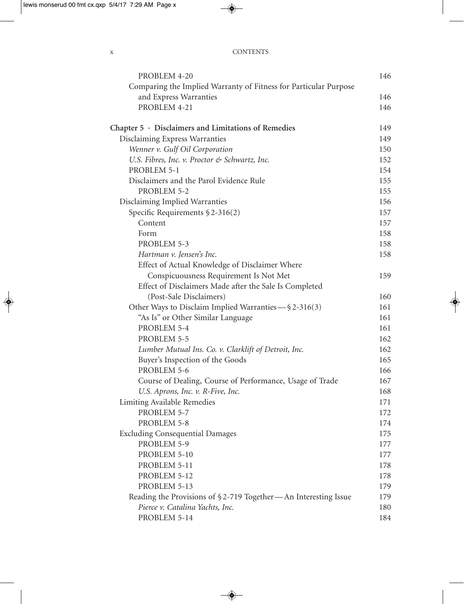| <b>CONTENTS</b> |
|-----------------|
|                 |

| PROBLEM 4-20                                                     | 146 |
|------------------------------------------------------------------|-----|
| Comparing the Implied Warranty of Fitness for Particular Purpose |     |
| and Express Warranties                                           | 146 |
| PROBLEM 4-21                                                     | 146 |
| Chapter $5 \cdot$ Disclaimers and Limitations of Remedies        | 149 |
| Disclaiming Express Warranties                                   | 149 |
| Wenner v. Gulf Oil Corporation                                   | 150 |
| U.S. Fibres, Inc. v. Proctor & Schwartz, Inc.                    | 152 |
| PROBLEM 5-1                                                      | 154 |
| Disclaimers and the Parol Evidence Rule                          | 155 |
| PROBLEM 5-2                                                      | 155 |
| Disclaiming Implied Warranties                                   | 156 |
| Specific Requirements $$2-316(2)$                                | 157 |
| Content                                                          | 157 |
| Form                                                             | 158 |
| PROBLEM 5-3                                                      | 158 |
| Hartman v. Jensen's Inc.                                         | 158 |
| Effect of Actual Knowledge of Disclaimer Where                   |     |
| Conspicuousness Requirement Is Not Met                           | 159 |
| Effect of Disclaimers Made after the Sale Is Completed           |     |
| (Post-Sale Disclaimers)                                          | 160 |
| Other Ways to Disclaim Implied Warranties - § 2-316(3)           | 161 |
| "As Is" or Other Similar Language                                | 161 |
| PROBLEM 5-4                                                      | 161 |
| PROBLEM 5-5                                                      | 162 |
| Lumber Mutual Ins. Co. v. Clarklift of Detroit, Inc.             | 162 |
| Buyer's Inspection of the Goods                                  | 165 |
| PROBLEM 5-6                                                      | 166 |
| Course of Dealing, Course of Performance, Usage of Trade         | 167 |
| U.S. Aprons, Inc. v. R-Five, Inc.                                | 168 |
| <b>Limiting Available Remedies</b>                               | 171 |
| PROBLEM 5-7                                                      | 172 |
| PROBLEM 5-8                                                      | 174 |
| <b>Excluding Consequential Damages</b>                           | 175 |
| PROBLEM 5-9                                                      | 177 |
| PROBLEM 5-10                                                     | 177 |
| PROBLEM 5-11                                                     | 178 |
| PROBLEM 5-12                                                     | 178 |
| PROBLEM 5-13                                                     | 179 |
| Reading the Provisions of §2-719 Together—An Interesting Issue   | 179 |
| Pierce v. Catalina Yachts, Inc.                                  | 180 |
| PROBLEM 5-14                                                     | 184 |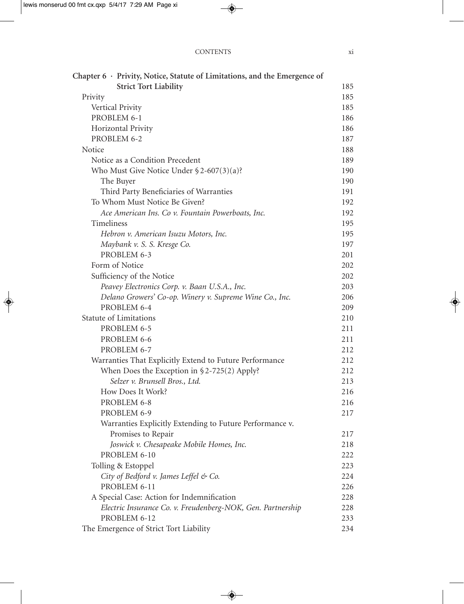| <b>CONTENTS</b> |  |
|-----------------|--|
|                 |  |

| Chapter $6 \cdot$ Privity, Notice, Statute of Limitations, and the Emergence of |     |
|---------------------------------------------------------------------------------|-----|
| <b>Strict Tort Liability</b>                                                    | 185 |
| Privity                                                                         | 185 |
| Vertical Privity                                                                | 185 |
| PROBLEM 6-1                                                                     | 186 |
| Horizontal Privity                                                              | 186 |
| PROBLEM 6-2                                                                     | 187 |
| Notice                                                                          | 188 |
| Notice as a Condition Precedent                                                 | 189 |
| Who Must Give Notice Under $$2-607(3)(a)$ ?                                     | 190 |
| The Buyer                                                                       | 190 |
| Third Party Beneficiaries of Warranties                                         | 191 |
| To Whom Must Notice Be Given?                                                   | 192 |
| Ace American Ins. Co v. Fountain Powerboats, Inc.                               | 192 |
| Timeliness                                                                      | 195 |
| Hebron v. American Isuzu Motors, Inc.                                           | 195 |
| Maybank v. S. S. Kresge Co.                                                     | 197 |
| PROBLEM 6-3                                                                     | 201 |
| Form of Notice                                                                  | 202 |
| Sufficiency of the Notice                                                       | 202 |
| Peavey Electronics Corp. v. Baan U.S.A., Inc.                                   | 203 |
| Delano Growers' Co-op. Winery v. Supreme Wine Co., Inc.                         | 206 |
| PROBLEM 6-4                                                                     | 209 |
| <b>Statute of Limitations</b>                                                   | 210 |
| PROBLEM 6-5                                                                     | 211 |
| PROBLEM 6-6                                                                     | 211 |
| PROBLEM 6-7                                                                     | 212 |
| Warranties That Explicitly Extend to Future Performance                         | 212 |
| When Does the Exception in $\S 2-725(2)$ Apply?                                 | 212 |
| Selzer v. Brunsell Bros., Ltd.                                                  | 213 |
| How Does It Work?                                                               | 216 |
| PROBLEM 6-8                                                                     | 216 |
| PROBLEM 6-9                                                                     | 217 |
| Warranties Explicitly Extending to Future Performance v.                        |     |
| Promises to Repair                                                              | 217 |
| Joswick v. Chesapeake Mobile Homes, Inc.                                        | 218 |
| PROBLEM 6-10                                                                    | 222 |
| Tolling & Estoppel                                                              | 223 |
| City of Bedford v. James Leffel & Co.                                           | 224 |
| PROBLEM 6-11                                                                    | 226 |
| A Special Case: Action for Indemnification                                      | 228 |
| Electric Insurance Co. v. Freudenberg-NOK, Gen. Partnership                     | 228 |
| PROBLEM 6-12                                                                    | 233 |
| The Emergence of Strict Tort Liability                                          | 234 |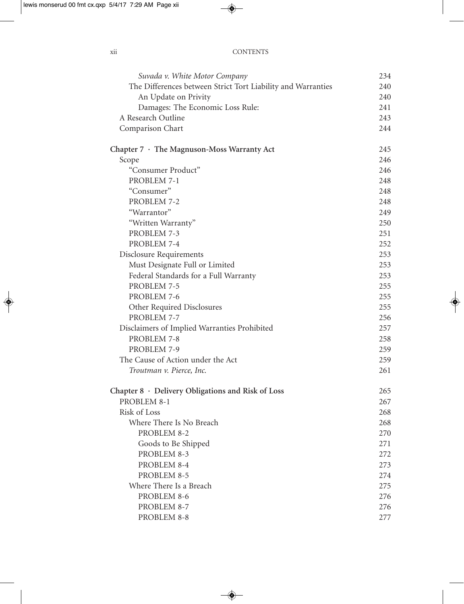| X11 | <b>CONTENTS</b> |
|-----|-----------------|
|     |                 |

| The Differences between Strict Tort Liability and Warranties<br>An Update on Privity | 240<br>240 |
|--------------------------------------------------------------------------------------|------------|
|                                                                                      |            |
|                                                                                      |            |
| Damages: The Economic Loss Rule:                                                     | 241        |
| A Research Outline                                                                   | 243        |
| Comparison Chart                                                                     | 244        |
| Chapter 7 · The Magnuson-Moss Warranty Act                                           | 245        |
| Scope                                                                                | 246        |
| "Consumer Product"                                                                   | 246        |
| PROBLEM 7-1                                                                          | 248        |
| "Consumer"                                                                           | 248        |
| PROBLEM 7-2                                                                          | 248        |
| "Warrantor"                                                                          | 249        |
| "Written Warranty"                                                                   | 250        |
| PROBLEM 7-3                                                                          | 251        |
| PROBLEM 7-4                                                                          | 252        |
| Disclosure Requirements                                                              | 253        |
| Must Designate Full or Limited                                                       | 253        |
| Federal Standards for a Full Warranty                                                | 253        |
| PROBLEM 7-5                                                                          | 255        |
| PROBLEM 7-6                                                                          | 255        |
| Other Required Disclosures                                                           | 255        |
| PROBLEM 7-7                                                                          | 256        |
| Disclaimers of Implied Warranties Prohibited                                         | 257        |
| PROBLEM 7-8                                                                          | 258        |
| PROBLEM 7-9                                                                          | 259        |
| The Cause of Action under the Act                                                    | 259        |
| Troutman v. Pierce, Inc.                                                             | 261        |
| Chapter $8 \cdot$ Delivery Obligations and Risk of Loss                              | 265        |
| PROBLEM 8-1                                                                          | 267        |
| Risk of Loss                                                                         | 268        |
| Where There Is No Breach                                                             | 268        |
| PROBLEM 8-2                                                                          | 270        |
| Goods to Be Shipped                                                                  | 271        |
| PROBLEM 8-3                                                                          | 272        |
| PROBLEM 8-4                                                                          | 273        |
| PROBLEM 8-5                                                                          | 274        |
| Where There Is a Breach                                                              | 275        |
| PROBLEM 8-6                                                                          | 276        |
| PROBLEM 8-7                                                                          | 276        |
| PROBLEM 8-8                                                                          | 277        |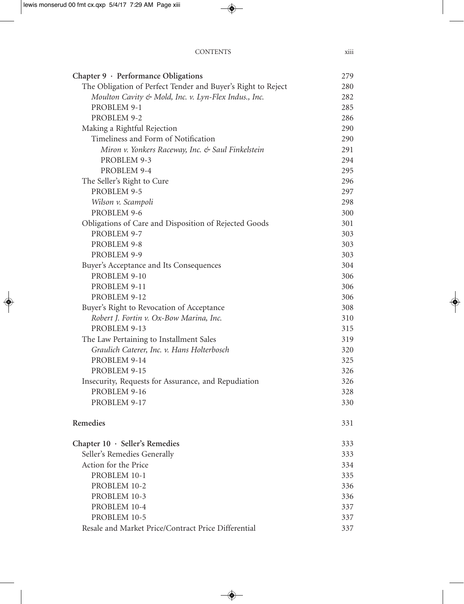|--|

| Chapter 9 · Performance Obligations                          | 279 |  |
|--------------------------------------------------------------|-----|--|
| The Obligation of Perfect Tender and Buyer's Right to Reject | 280 |  |
| Moulton Cavity & Mold, Inc. v. Lyn-Flex Indus., Inc.         |     |  |
| PROBLEM 9-1                                                  |     |  |
| PROBLEM 9-2                                                  | 286 |  |
| Making a Rightful Rejection                                  | 290 |  |
| Timeliness and Form of Notification                          | 290 |  |
| Miron v. Yonkers Raceway, Inc. & Saul Finkelstein            | 291 |  |
| PROBLEM 9-3                                                  | 294 |  |
| PROBLEM 9-4                                                  | 295 |  |
| The Seller's Right to Cure                                   | 296 |  |
| PROBLEM 9-5                                                  | 297 |  |
| Wilson v. Scampoli                                           | 298 |  |
| PROBLEM 9-6                                                  | 300 |  |
| Obligations of Care and Disposition of Rejected Goods        | 301 |  |
| PROBLEM 9-7                                                  | 303 |  |
| PROBLEM 9-8                                                  | 303 |  |
| PROBLEM 9-9                                                  | 303 |  |
| Buyer's Acceptance and Its Consequences                      | 304 |  |
| PROBLEM 9-10                                                 | 306 |  |
| PROBLEM 9-11                                                 | 306 |  |
| PROBLEM 9-12                                                 | 306 |  |
| Buyer's Right to Revocation of Acceptance                    | 308 |  |
| Robert J. Fortin v. Ox-Bow Marina, Inc.                      | 310 |  |
| PROBLEM 9-13                                                 | 315 |  |
| The Law Pertaining to Installment Sales                      | 319 |  |
| Graulich Caterer, Inc. v. Hans Holterbosch                   | 320 |  |
| PROBLEM 9-14                                                 | 325 |  |
| PROBLEM 9-15                                                 | 326 |  |
| Insecurity, Requests for Assurance, and Repudiation          | 326 |  |
| PROBLEM 9-16                                                 | 328 |  |
| PROBLEM 9-17                                                 | 330 |  |
| Remedies                                                     | 331 |  |
| Chapter $10 \cdot$ Seller's Remedies                         | 333 |  |
| Seller's Remedies Generally                                  | 333 |  |
| Action for the Price                                         | 334 |  |
| PROBLEM 10-1                                                 | 335 |  |
| PROBLEM 10-2                                                 | 336 |  |
| PROBLEM 10-3                                                 | 336 |  |
| PROBLEM 10-4                                                 | 337 |  |
| PROBLEM 10-5                                                 | 337 |  |
| Resale and Market Price/Contract Price Differential          | 337 |  |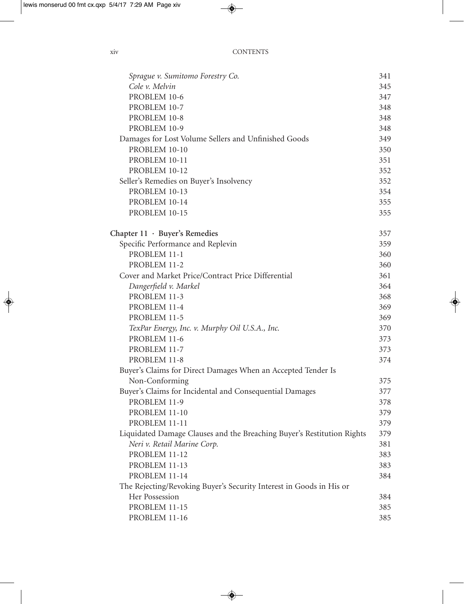| Sprague v. Sumitomo Forestry Co.                                       | 341 |
|------------------------------------------------------------------------|-----|
| Cole v. Melvin                                                         | 345 |
| PROBLEM 10-6                                                           | 347 |
| PROBLEM 10-7                                                           | 348 |
| PROBLEM 10-8                                                           | 348 |
| PROBLEM 10-9                                                           | 348 |
| Damages for Lost Volume Sellers and Unfinished Goods                   | 349 |
| PROBLEM 10-10                                                          | 350 |
| PROBLEM 10-11                                                          | 351 |
| PROBLEM 10-12                                                          | 352 |
| Seller's Remedies on Buyer's Insolvency                                | 352 |
| PROBLEM 10-13                                                          | 354 |
| PROBLEM 10-14                                                          | 355 |
| PROBLEM 10-15                                                          | 355 |
| Chapter 11 · Buyer's Remedies                                          | 357 |
| Specific Performance and Replevin                                      | 359 |
| PROBLEM 11-1                                                           | 360 |
| PROBLEM 11-2                                                           | 360 |
| Cover and Market Price/Contract Price Differential                     | 361 |
| Dangerfield v. Markel                                                  | 364 |
| PROBLEM 11-3                                                           | 368 |
| PROBLEM 11-4                                                           | 369 |
| PROBLEM 11-5                                                           | 369 |
| TexPar Energy, Inc. v. Murphy Oil U.S.A., Inc.                         | 370 |
| PROBLEM 11-6                                                           | 373 |
| PROBLEM 11-7                                                           | 373 |
| PROBLEM 11-8                                                           | 374 |
| Buyer's Claims for Direct Damages When an Accepted Tender Is           |     |
| Non-Conforming                                                         | 375 |
| Buyer's Claims for Incidental and Consequential Damages                | 377 |
| PROBLEM 11-9                                                           | 378 |
| PROBLEM 11-10                                                          | 379 |
| PROBLEM 11-11                                                          | 379 |
| Liquidated Damage Clauses and the Breaching Buyer's Restitution Rights | 379 |
| Neri v. Retail Marine Corp.                                            | 381 |
| PROBLEM 11-12                                                          | 383 |
| PROBLEM 11-13                                                          | 383 |
| PROBLEM 11-14                                                          | 384 |
| The Rejecting/Revoking Buyer's Security Interest in Goods in His or    |     |
| Her Possession                                                         | 384 |
| PROBLEM 11-15                                                          | 385 |
| PROBLEM 11-16                                                          | 385 |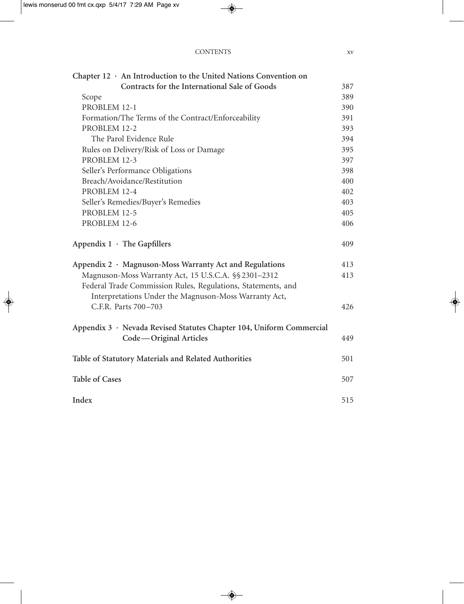| <b>CONTENTS</b> |  |  |
|-----------------|--|--|
|-----------------|--|--|

| Chapter $12 \cdot$ An Introduction to the United Nations Convention on |     |
|------------------------------------------------------------------------|-----|
| Contracts for the International Sale of Goods                          | 387 |
| Scope                                                                  | 389 |
| PROBLEM 12-1                                                           | 390 |
| Formation/The Terms of the Contract/Enforceability                     | 391 |
| PROBLEM 12-2                                                           | 393 |
| The Parol Evidence Rule                                                | 394 |
| Rules on Delivery/Risk of Loss or Damage                               | 395 |
| PROBLEM 12-3                                                           | 397 |
| Seller's Performance Obligations                                       | 398 |
| Breach/Avoidance/Restitution                                           | 400 |
| PROBLEM 12-4                                                           | 402 |
| Seller's Remedies/Buyer's Remedies                                     | 403 |
| PROBLEM 12-5                                                           | 405 |
| PROBLEM 12-6                                                           | 406 |
| Appendix $1 \cdot$ The Gapfillers                                      | 409 |
| Appendix 2 · Magnuson-Moss Warranty Act and Regulations                | 413 |
| Magnuson-Moss Warranty Act, 15 U.S.C.A. §§ 2301-2312                   | 413 |
| Federal Trade Commission Rules, Regulations, Statements, and           |     |
| Interpretations Under the Magnuson-Moss Warranty Act,                  |     |
| C.F.R. Parts 700-703                                                   | 426 |
| Appendix 3 · Nevada Revised Statutes Chapter 104, Uniform Commercial   |     |
| Code-Original Articles                                                 | 449 |
| Table of Statutory Materials and Related Authorities                   | 501 |
| <b>Table of Cases</b>                                                  | 507 |
| Index                                                                  | 515 |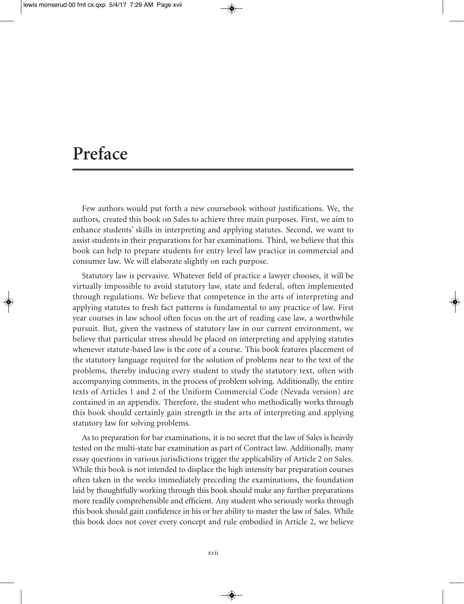### **Preface**

Few authors would put forth a new coursebook without justifications. We, the authors, created this book on Sales to achieve three main purposes. First, we aim to enhance students' skills in interpreting and applying statutes. Second, we want to assist students in their preparations for bar examinations. Third, we believe that this book can help to prepare students for entry level law practice in commercial and consumer law. We will elaborate slightly on each purpose.

Statutory law is pervasive. Whatever field of practice a lawyer chooses, it will be virtually impossible to avoid statutory law, state and federal, often implemented through regulations. We believe that competence in the arts of interpreting and applying statutes to fresh fact patterns is fundamental to any practice of law. First year courses in law school often focus on the art of reading case law, a worthwhile pursuit. But, given the vastness of statutory law in our current environment, we believe that particular stress should be placed on interpreting and applying statutes whenever statute-based law is the core of a course. This book features placement of the statutory language required for the solution of problems near to the text of the problems, thereby inducing every student to study the statutory text, often with accompanying comments, in the process of problem solving. Additionally, the entire texts of Articles 1 and 2 of the Uniform Commercial Code (Nevada version) are contained in an appendix. Therefore, the student who methodically works through this book should certainly gain strength in the arts of interpreting and applying statutory law for solving problems.

As to preparation for bar examinations, it is no secret that the law of Sales is heavily tested on the multi-state bar examination as part of Contract law. Additionally, many essay questions in various jurisdictions trigger the applicability of Article 2 on Sales. While this book is not intended to displace the high intensity bar preparation courses often taken in the weeks immediately preceding the examinations, the foundation laid by thoughtfully working through this book should make any further preparations more readily comprehensible and efficient. Any student who seriously works through this book should gain confidence in his or her ability to master the law of Sales. While this book does not cover every concept and rule embodied in Article 2, we believe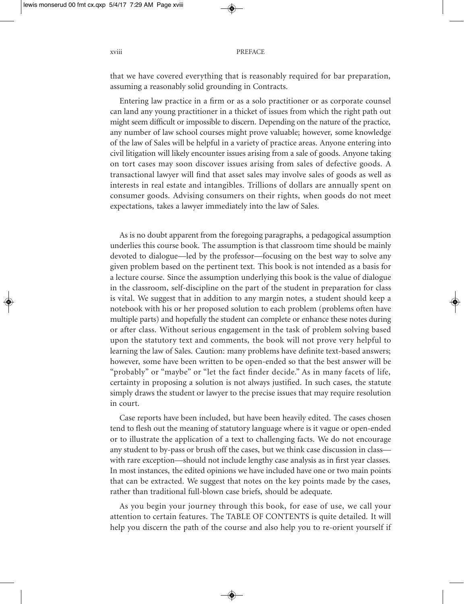that we have covered everything that is reasonably required for bar preparation, assuming a reasonably solid grounding in Contracts.

Entering law practice in a firm or as a solo practitioner or as corporate counsel can land any young practitioner in a thicket of issues from which the right path out might seem difficult or impossible to discern. Depending on the nature of the practice, any number of law school courses might prove valuable; however, some knowledge of the law of Sales will be helpful in a variety of practice areas. Anyone entering into civil litigation will likely encounter issues arising from a sale of goods. Anyone taking on tort cases may soon discover issues arising from sales of defective goods. A transactional lawyer will find that asset sales may involve sales of goods as well as interests in real estate and intangibles. Trillions of dollars are annually spent on consumer goods. Advising consumers on their rights, when goods do not meet expectations, takes a lawyer immediately into the law of Sales.

As is no doubt apparent from the foregoing paragraphs, a pedagogical assumption underlies this course book. The assumption is that classroom time should be mainly devoted to dialogue—led by the professor—focusing on the best way to solve any given problem based on the pertinent text. This book is not intended as a basis for a lecture course. Since the assumption underlying this book is the value of dialogue in the classroom, self-discipline on the part of the student in preparation for class is vital. We suggest that in addition to any margin notes, a student should keep a notebook with his or her proposed solution to each problem (problems often have multiple parts) and hopefully the student can complete or enhance these notes during or after class. Without serious engagement in the task of problem solving based upon the statutory text and comments, the book will not prove very helpful to learning the law of Sales. Caution: many problems have definite text-based answers; however, some have been written to be open-ended so that the best answer will be "probably" or "maybe" or "let the fact finder decide." As in many facets of life, certainty in proposing a solution is not always justified. In such cases, the statute simply draws the student or lawyer to the precise issues that may require resolution in court.

Case reports have been included, but have been heavily edited. The cases chosen tend to flesh out the meaning of statutory language where is it vague or open-ended or to illustrate the application of a text to challenging facts. We do not encourage any student to by-pass or brush off the cases, but we think case discussion in class with rare exception—should not include lengthy case analysis as in first year classes. In most instances, the edited opinions we have included have one or two main points that can be extracted. We suggest that notes on the key points made by the cases, rather than traditional full-blown case briefs, should be adequate.

As you begin your journey through this book, for ease of use, we call your attention to certain features. The TABLE OF CONTENTS is quite detailed. It will help you discern the path of the course and also help you to re-orient yourself if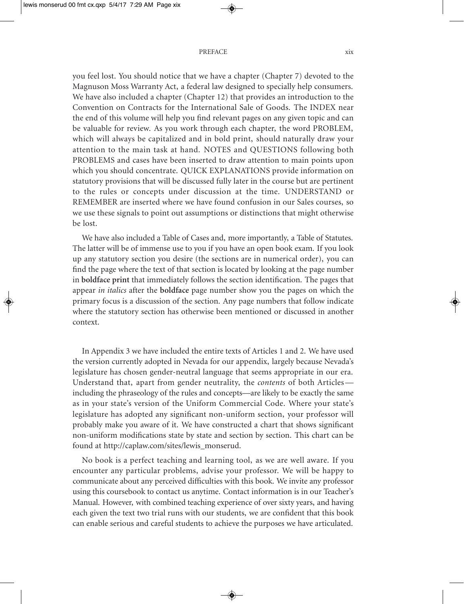you feel lost. You should notice that we have a chapter (Chapter 7) devoted to the Magnuson Moss Warranty Act, a federal law designed to specially help consumers. We have also included a chapter (Chapter 12) that provides an introduction to the Convention on Contracts for the International Sale of Goods. The INDEX near the end of this volume will help you find relevant pages on any given topic and can be valuable for review. As you work through each chapter, the word PROBLEM, which will always be capitalized and in bold print, should naturally draw your attention to the main task at hand. NOTES and QUESTIONS following both PROBLEMS and cases have been inserted to draw attention to main points upon which you should concentrate. QUICK EXPLANATIONS provide information on statutory provisions that will be discussed fully later in the course but are pertinent to the rules or concepts under discussion at the time. UNDERSTAND or REMEMBER are inserted where we have found confusion in our Sales courses, so we use these signals to point out assumptions or distinctions that might otherwise be lost.

We have also included a Table of Cases and, more importantly, a Table of Statutes. The latter will be of immense use to you if you have an open book exam. If you look up any statutory section you desire (the sections are in numerical order), you can find the page where the text of that section is located by looking at the page number in **boldface print** that immediately follows the section identification. The pages that appear *in italics* after the **boldface** page number show you the pages on which the primary focus is a discussion of the section. Any page numbers that follow indicate where the statutory section has otherwise been mentioned or discussed in another context.

In Appendix 3 we have included the entire texts of Articles 1 and 2. We have used the version currently adopted in Nevada for our appendix, largely because Nevada's legislature has chosen gender-neutral language that seems appropriate in our era. Understand that, apart from gender neutrality, the *contents* of both Articles including the phraseology of the rules and concepts—are likely to be exactly the same as in your state's version of the Uniform Commercial Code. Where your state's legislature has adopted any significant non-uniform section, your professor will probably make you aware of it. We have constructed a chart that shows significant non-uniform modifications state by state and section by section. This chart can be found at http://caplaw.com/sites/lewis\_monserud.

No book is a perfect teaching and learning tool, as we are well aware. If you encounter any particular problems, advise your professor. We will be happy to communicate about any perceived difficulties with this book. We invite any professor using this coursebook to contact us anytime. Contact information is in our Teacher's Manual. However, with combined teaching experience of over sixty years, and having each given the text two trial runs with our students, we are confident that this book can enable serious and careful students to achieve the purposes we have articulated.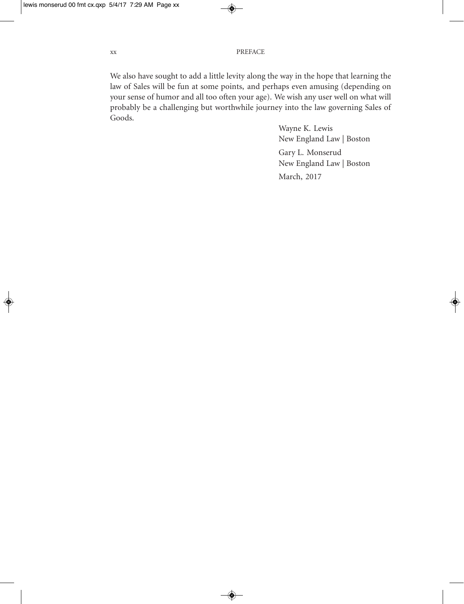We also have sought to add a little levity along the way in the hope that learning the law of Sales will be fun at some points, and perhaps even amusing (depending on your sense of humor and all too often your age). We wish any user well on what will probably be a challenging but worthwhile journey into the law governing Sales of Goods.

> Wayne K. Lewis New England Law | Boston Gary L. Monserud New England Law | Boston March, 2017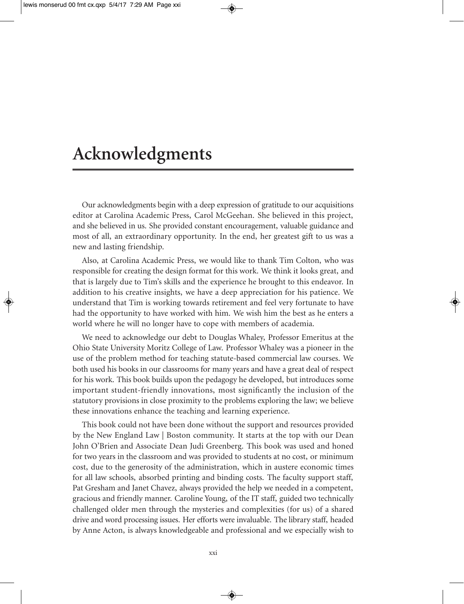### **Acknowledgments**

Our acknowledgments begin with a deep expression of gratitude to our acquisitions editor at Carolina Academic Press, Carol McGeehan. She believed in this project, and she believed in us. She provided constant encouragement, valuable guidance and most of all, an extraordinary opportunity. In the end, her greatest gift to us was a new and lasting friendship.

Also, at Carolina Academic Press, we would like to thank Tim Colton, who was responsible for creating the design format for this work. We think it looks great, and that is largely due to Tim's skills and the experience he brought to this endeavor. In addition to his creative insights, we have a deep appreciation for his patience. We understand that Tim is working towards retirement and feel very fortunate to have had the opportunity to have worked with him. We wish him the best as he enters a world where he will no longer have to cope with members of academia.

We need to acknowledge our debt to Douglas Whaley, Professor Emeritus at the Ohio State University Moritz College of Law. Professor Whaley was a pioneer in the use of the problem method for teaching statute-based commercial law courses. We both used his books in our classrooms for many years and have a great deal of respect for his work. This book builds upon the pedagogy he developed, but introduces some important student-friendly innovations, most significantly the inclusion of the statutory provisions in close proximity to the problems exploring the law; we believe these innovations enhance the teaching and learning experience.

This book could not have been done without the support and resources provided by the New England Law | Boston community. It starts at the top with our Dean John O'Brien and Associate Dean Judi Greenberg. This book was used and honed for two years in the classroom and was provided to students at no cost, or minimum cost, due to the generosity of the administration, which in austere economic times for all law schools, absorbed printing and binding costs. The faculty support staff, Pat Gresham and Janet Chavez, always provided the help we needed in a competent, gracious and friendly manner. Caroline Young, of the IT staff, guided two technically challenged older men through the mysteries and complexities (for us) of a shared drive and word processing issues. Her efforts were invaluable. The library staff, headed by Anne Acton, is always knowledgeable and professional and we especially wish to